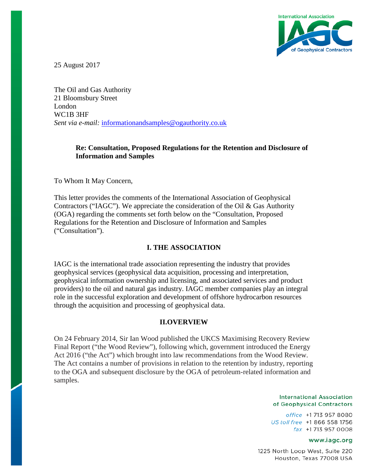

25 August 2017

The Oil and Gas Authority 21 Bloomsbury Street London WC1B 3HF *Sent via e-mail:* [informationandsamples@ogauthority.co.uk](mailto:informationandsamples@ogauthority.co.uk)

# **Re: Consultation, Proposed Regulations for the Retention and Disclosure of Information and Samples**

To Whom It May Concern,

This letter provides the comments of the International Association of Geophysical Contractors ("IAGC"). We appreciate the consideration of the Oil & Gas Authority (OGA) regarding the comments set forth below on the "Consultation, Proposed Regulations for the Retention and Disclosure of Information and Samples ("Consultation").

# **I. THE ASSOCIATION**

IAGC is the international trade association representing the industry that provides geophysical services (geophysical data acquisition, processing and interpretation, geophysical information ownership and licensing, and associated services and product providers) to the oil and natural gas industry. IAGC member companies play an integral role in the successful exploration and development of offshore hydrocarbon resources through the acquisition and processing of geophysical data.

# **II.OVERVIEW**

On 24 February 2014, Sir Ian Wood published the UKCS Maximising Recovery Review Final Report ("the Wood Review"), following which, government introduced the Energy Act 2016 ("the Act") which brought into law recommendations from the Wood Review. The Act contains a number of provisions in relation to the retention by industry, reporting to the OGA and subsequent disclosure by the OGA of petroleum-related information and samples.

#### **International Association** of Geophysical Contractors

office +1 713 957 8080 US toll free +1 866 558 1756 fax +1713 957 0008

#### www.iagc.org

1225 North Loop West, Suite 220 Houston, Texas 77008 USA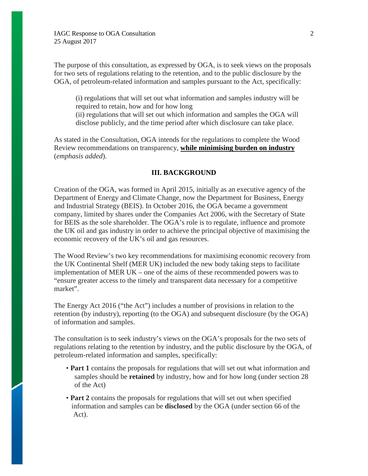The purpose of this consultation, as expressed by OGA, is to seek views on the proposals for two sets of regulations relating to the retention, and to the public disclosure by the OGA, of petroleum-related information and samples pursuant to the Act, specifically:

(i) regulations that will set out what information and samples industry will be required to retain, how and for how long

(ii) regulations that will set out which information and samples the OGA will disclose publicly, and the time period after which disclosure can take place.

As stated in the Consultation, OGA intends for the regulations to complete the Wood Review recommendations on transparency, **while minimising burden on industry** (*emphasis added*).

### **III. BACKGROUND**

Creation of the OGA, was formed in April 2015, initially as an executive agency of the Department of Energy and Climate Change, now the Department for Business, Energy and Industrial Strategy (BEIS). In October 2016, the OGA became a government company, limited by shares under the Companies Act 2006, with the Secretary of State for BEIS as the sole shareholder. The OGA's role is to regulate, influence and promote the UK oil and gas industry in order to achieve the principal objective of maximising the economic recovery of the UK's oil and gas resources.

The Wood Review's two key recommendations for maximising economic recovery from the UK Continental Shelf (MER UK) included the new body taking steps to facilitate implementation of MER UK – one of the aims of these recommended powers was to "ensure greater access to the timely and transparent data necessary for a competitive market".

The Energy Act 2016 ("the Act") includes a number of provisions in relation to the retention (by industry), reporting (to the OGA) and subsequent disclosure (by the OGA) of information and samples.

The consultation is to seek industry's views on the OGA's proposals for the two sets of regulations relating to the retention by industry, and the public disclosure by the OGA, of petroleum-related information and samples, specifically:

- **Part 1** contains the proposals for regulations that will set out what information and samples should be **retained** by industry, how and for how long (under section 28 of the Act)
- **Part 2** contains the proposals for regulations that will set out when specified information and samples can be **disclosed** by the OGA (under section 66 of the Act).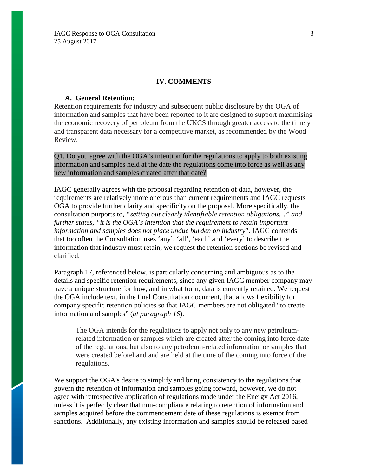#### **IV. COMMENTS**

#### **A. General Retention:**

Retention requirements for industry and subsequent public disclosure by the OGA of information and samples that have been reported to it are designed to support maximising the economic recovery of petroleum from the UKCS through greater access to the timely and transparent data necessary for a competitive market, as recommended by the Wood Review.

Q1. Do you agree with the OGA's intention for the regulations to apply to both existing information and samples held at the date the regulations come into force as well as any new information and samples created after that date?

IAGC generally agrees with the proposal regarding retention of data, however, the requirements are relatively more onerous than current requirements and IAGC requests OGA to provide further clarity and specificity on the proposal. More specifically, the consultation purports to, *"setting out clearly identifiable retention obligations…" and further states, "it is the OGA's intention that the requirement to retain important information and samples does not place undue burden on industry*". IAGC contends that too often the Consultation uses 'any', 'all', 'each' and 'every' to describe the information that industry must retain, we request the retention sections be revised and clarified.

Paragraph 17, referenced below, is particularly concerning and ambiguous as to the details and specific retention requirements, since any given IAGC member company may have a unique structure for how, and in what form, data is currently retained. We request the OGA include text, in the final Consultation document, that allows flexibility for company specific retention policies so that IAGC members are not obligated "to create information and samples" (*at paragraph 16*).

The OGA intends for the regulations to apply not only to any new petroleumrelated information or samples which are created after the coming into force date of the regulations, but also to any petroleum-related information or samples that were created beforehand and are held at the time of the coming into force of the regulations.

We support the OGA's desire to simplify and bring consistency to the regulations that govern the retention of information and samples going forward, however, we do not agree with retrospective application of regulations made under the Energy Act 2016, unless it is perfectly clear that non-compliance relating to retention of information and samples acquired before the commencement date of these regulations is exempt from sanctions. Additionally, any existing information and samples should be released based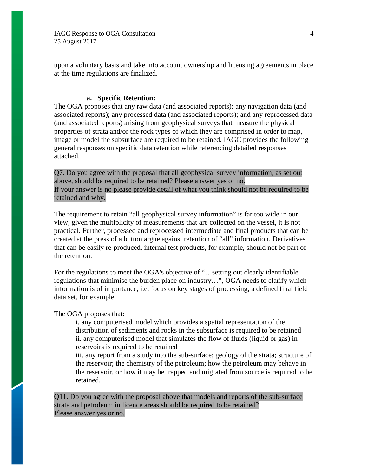upon a voluntary basis and take into account ownership and licensing agreements in place at the time regulations are finalized.

### **a. Specific Retention:**

The OGA proposes that any raw data (and associated reports); any navigation data (and associated reports); any processed data (and associated reports); and any reprocessed data (and associated reports) arising from geophysical surveys that measure the physical properties of strata and/or the rock types of which they are comprised in order to map, image or model the subsurface are required to be retained. IAGC provides the following general responses on specific data retention while referencing detailed responses attached.

Q7. Do you agree with the proposal that all geophysical survey information, as set out above, should be required to be retained? Please answer yes or no. If your answer is no please provide detail of what you think should not be required to be retained and why.

The requirement to retain "all geophysical survey information" is far too wide in our view, given the multiplicity of measurements that are collected on the vessel, it is not practical. Further, processed and reprocessed intermediate and final products that can be created at the press of a button argue against retention of "all" information. Derivatives that can be easily re-produced, internal test products, for example, should not be part of the retention.

For the regulations to meet the OGA's objective of "…setting out clearly identifiable regulations that minimise the burden place on industry…", OGA needs to clarify which information is of importance, i.e. focus on key stages of processing, a defined final field data set, for example.

### The OGA proposes that:

i. any computerised model which provides a spatial representation of the distribution of sediments and rocks in the subsurface is required to be retained ii. any computerised model that simulates the flow of fluids (liquid or gas) in reservoirs is required to be retained

iii. any report from a study into the sub-surface; geology of the strata; structure of the reservoir; the chemistry of the petroleum; how the petroleum may behave in the reservoir, or how it may be trapped and migrated from source is required to be retained.

Q11. Do you agree with the proposal above that models and reports of the sub-surface strata and petroleum in licence areas should be required to be retained? Please answer yes or no.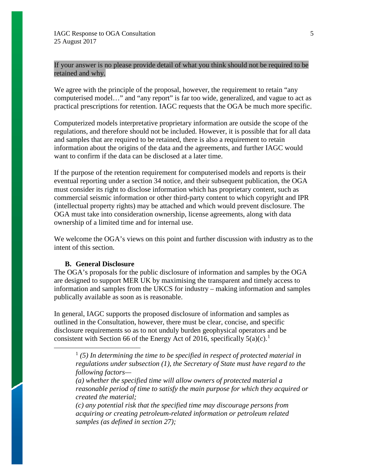If your answer is no please provide detail of what you think should not be required to be retained and why.

We agree with the principle of the proposal, however, the requirement to retain "any" computerised model…" and "any report" is far too wide, generalized, and vague to act as practical prescriptions for retention. IAGC requests that the OGA be much more specific.

Computerized models interpretative proprietary information are outside the scope of the regulations, and therefore should not be included. However, it is possible that for all data and samples that are required to be retained, there is also a requirement to retain information about the origins of the data and the agreements, and further IAGC would want to confirm if the data can be disclosed at a later time.

If the purpose of the retention requirement for computerised models and reports is their eventual reporting under a section 34 notice, and their subsequent publication, the OGA must consider its right to disclose information which has proprietary content, such as commercial seismic information or other third-party content to which copyright and IPR (intellectual property rights) may be attached and which would prevent disclosure. The OGA must take into consideration ownership, license agreements, along with data ownership of a limited time and for internal use.

We welcome the OGA's views on this point and further discussion with industry as to the intent of this section.

### **B. General Disclosure**

The OGA's proposals for the public disclosure of information and samples by the OGA are designed to support MER UK by maximising the transparent and timely access to information and samples from the UKCS for industry – making information and samples publically available as soon as is reasonable.

<span id="page-4-0"></span>In general, IAGC supports the proposed disclosure of information and samples as outlined in the Consultation, however, there must be clear, concise, and specific disclosure requirements so as to not unduly burden geophysical operators and be consistent with Section 66 of the Energy Act of 20[1](#page-4-0)6, specifically  $5(a)(c)$ .<sup>1</sup>

*(a) whether the specified time will allow owners of protected material a reasonable period of time to satisfy the main purpose for which they acquired or created the material;*

*(c) any potential risk that the specified time may discourage persons from acquiring or creating petroleum-related information or petroleum related samples (as defined in section 27);*

 $<sup>1</sup>$  (5) In determining the time to be specified in respect of protected material in</sup> *regulations under subsection (1), the Secretary of State must have regard to the following factors—*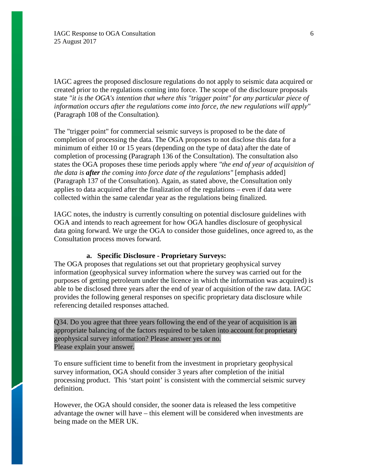IAGC agrees the proposed disclosure regulations do not apply to seismic data acquired or created prior to the regulations coming into force. The scope of the disclosure proposals state *"it is the OGA's intention that where this "trigger point" for any particular piece of information occurs after the regulations come into force, the new regulations will apply"*  (Paragraph 108 of the Consultation)*.* 

The "trigger point" for commercial seismic surveys is proposed to be the date of completion of processing the data. The OGA proposes to not disclose this data for a minimum of either 10 or 15 years (depending on the type of data) after the date of completion of processing (Paragraph 136 of the Consultation). The consultation also states the OGA proposes these time periods apply where *"the end of year of acquisition of the data is after the coming into force date of the regulations"* [emphasis added] (Paragraph 137 of the Consultation). Again, as stated above, the Consultation only applies to data acquired after the finalization of the regulations – even if data were collected within the same calendar year as the regulations being finalized.

IAGC notes, the industry is currently consulting on potential disclosure guidelines with OGA and intends to reach agreement for how OGA handles disclosure of geophysical data going forward. We urge the OGA to consider those guidelines, once agreed to, as the Consultation process moves forward.

## **a. Specific Disclosure - Proprietary Surveys:**

The OGA proposes that regulations set out that proprietary geophysical survey information (geophysical survey information where the survey was carried out for the purposes of getting petroleum under the licence in which the information was acquired) is able to be disclosed three years after the end of year of acquisition of the raw data. IAGC provides the following general responses on specific proprietary data disclosure while referencing detailed responses attached.

# Q34. Do you agree that three years following the end of the year of acquisition is an appropriate balancing of the factors required to be taken into account for proprietary geophysical survey information? Please answer yes or no. Please explain your answer.

To ensure sufficient time to benefit from the investment in proprietary geophysical survey information, OGA should consider 3 years after completion of the initial processing product. This 'start point' is consistent with the commercial seismic survey definition.

However, the OGA should consider, the sooner data is released the less competitive advantage the owner will have – this element will be considered when investments are being made on the MER UK.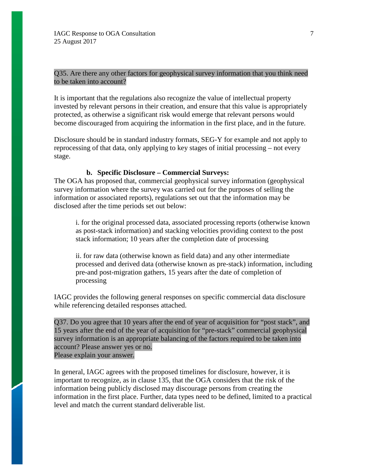Q35. Are there any other factors for geophysical survey information that you think need to be taken into account?

It is important that the regulations also recognize the value of intellectual property invested by relevant persons in their creation, and ensure that this value is appropriately protected, as otherwise a significant risk would emerge that relevant persons would become discouraged from acquiring the information in the first place, and in the future.

Disclosure should be in standard industry formats, SEG-Y for example and not apply to reprocessing of that data, only applying to key stages of initial processing – not every stage.

#### **b. Specific Disclosure – Commercial Surveys:**

The OGA has proposed that, commercial geophysical survey information (geophysical survey information where the survey was carried out for the purposes of selling the information or associated reports), regulations set out that the information may be disclosed after the time periods set out below:

i. for the original processed data, associated processing reports (otherwise known as post-stack information) and stacking velocities providing context to the post stack information; 10 years after the completion date of processing

ii. for raw data (otherwise known as field data) and any other intermediate processed and derived data (otherwise known as pre-stack) information, including pre-and post-migration gathers, 15 years after the date of completion of processing

IAGC provides the following general responses on specific commercial data disclosure while referencing detailed responses attached.

Q37. Do you agree that 10 years after the end of year of acquisition for "post stack", and 15 years after the end of the year of acquisition for "pre-stack" commercial geophysical survey information is an appropriate balancing of the factors required to be taken into account? Please answer yes or no. Please explain your answer.

In general, IAGC agrees with the proposed timelines for disclosure, however, it is important to recognize, as in clause 135, that the OGA considers that the risk of the information being publicly disclosed may discourage persons from creating the information in the first place. Further, data types need to be defined, limited to a practical level and match the current standard deliverable list.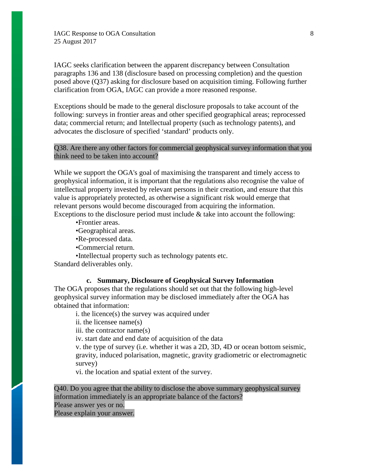IAGC seeks clarification between the apparent discrepancy between Consultation paragraphs 136 and 138 (disclosure based on processing completion) and the question posed above (Q37) asking for disclosure based on acquisition timing. Following further clarification from OGA, IAGC can provide a more reasoned response.

Exceptions should be made to the general disclosure proposals to take account of the following: surveys in frontier areas and other specified geographical areas; reprocessed data; commercial return; and Intellectual property (such as technology patents), and advocates the disclosure of specified 'standard' products only.

## Q38. Are there any other factors for commercial geophysical survey information that you think need to be taken into account?

While we support the OGA's goal of maximising the transparent and timely access to geophysical information, it is important that the regulations also recognise the value of intellectual property invested by relevant persons in their creation, and ensure that this value is appropriately protected, as otherwise a significant risk would emerge that relevant persons would become discouraged from acquiring the information. Exceptions to the disclosure period must include & take into account the following:

•Frontier areas.

•Geographical areas.

•Re-processed data.

•Commercial return.

•Intellectual property such as technology patents etc.

Standard deliverables only.

# **c. Summary, Disclosure of Geophysical Survey Information**

The OGA proposes that the regulations should set out that the following high-level geophysical survey information may be disclosed immediately after the OGA has obtained that information:

i. the licence(s) the survey was acquired under

ii. the licensee name(s)

iii. the contractor name(s)

iv. start date and end date of acquisition of the data

v. the type of survey (i.e. whether it was a 2D, 3D, 4D or ocean bottom seismic, gravity, induced polarisation, magnetic, gravity gradiometric or electromagnetic survey)

vi. the location and spatial extent of the survey.

Q40. Do you agree that the ability to disclose the above summary geophysical survey information immediately is an appropriate balance of the factors?

Please answer yes or no.

Please explain your answer.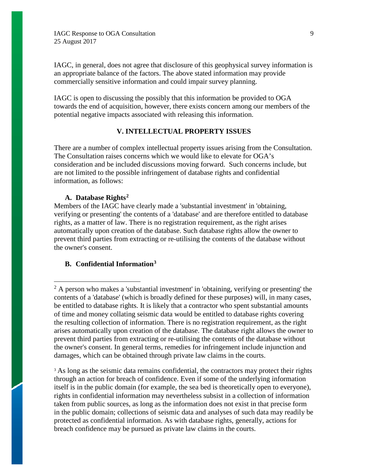IAGC, in general, does not agree that disclosure of this geophysical survey information is an appropriate balance of the factors. The above stated information may provide commercially sensitive information and could impair survey planning.

IAGC is open to discussing the possibly that this information be provided to OGA towards the end of acquisition, however, there exists concern among our members of the potential negative impacts associated with releasing this information.

## **V. INTELLECTUAL PROPERTY ISSUES**

There are a number of complex intellectual property issues arising from the Consultation. The Consultation raises concerns which we would like to elevate for OGA's consideration and be included discussions moving forward. Such concerns include, but are not limited to the possible infringement of database rights and confidential information, as follows:

### **A. Database Rights[2](#page-8-0)**

Members of the IAGC have clearly made a 'substantial investment' in 'obtaining, verifying or presenting' the contents of a 'database' and are therefore entitled to database rights, as a matter of law. There is no registration requirement, as the right arises automatically upon creation of the database. Such database rights allow the owner to prevent third parties from extracting or re-utilising the contents of the database without the owner's consent.

#### **B. Confidential Information[3](#page-8-1)**

<span id="page-8-1"></span><sup>3</sup> As long as the seismic data remains confidential, the contractors may protect their rights through an action for breach of confidence. Even if some of the underlying information itself is in the public domain (for example, the sea bed is theoretically open to everyone), rights in confidential information may nevertheless subsist in a collection of information taken from public sources, as long as the information does not exist in that precise form in the public domain; collections of seismic data and analyses of such data may readily be protected as confidential information. As with database rights, generally, actions for breach confidence may be pursued as private law claims in the courts.

<span id="page-8-0"></span> $2A$  person who makes a 'substantial investment' in 'obtaining, verifying or presenting' the contents of a 'database' (which is broadly defined for these purposes) will, in many cases, be entitled to database rights. It is likely that a contractor who spent substantial amounts of time and money collating seismic data would be entitled to database rights covering the resulting collection of information. There is no registration requirement, as the right arises automatically upon creation of the database. The database right allows the owner to prevent third parties from extracting or re-utilising the contents of the database without the owner's consent. In general terms, remedies for infringement include injunction and damages, which can be obtained through private law claims in the courts.